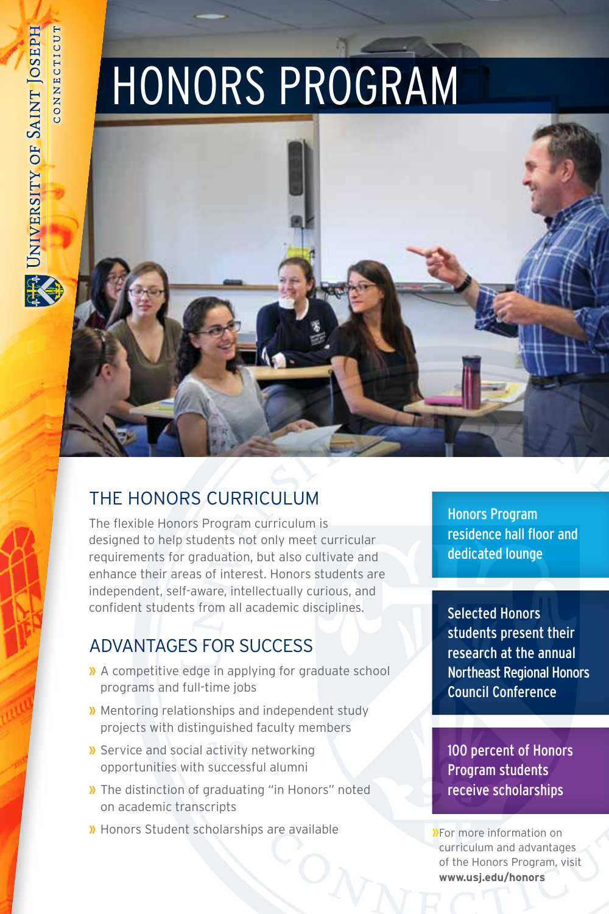# HONORS PROGRAM



# THE HONORS CURRICULUM

The flexible Honors Program curriculum is designed to help students not only meet curricular requirements for graduation, but also cultivate and enhance their areas of interest. Honors students are independent, self-aware, intellectually curious, and confident students from all academic disciplines.

# ADVANTAGES FOR SUCCESS

- **»** A competitive edge in applying for graduate school programs and full-time jobs
- **»** Mentoring relationships and independent study projects with distinguished faculty members
- **»** Service and social activity networking opportunities with successful alumni
- **»** The distinction of graduating "in Honors" noted on academic transcripts
- **»** Honors Student scholarships are available

Honors Program residence hall floor and dedicated lounge

Selected Honors students present their research at the annual Northeast Regional Honors Council Conference

100 percent of Honors Program students receive scholarships

**»**For more information on curriculum and advantages of the Honors Program, visit **www.usj.edu/honors**